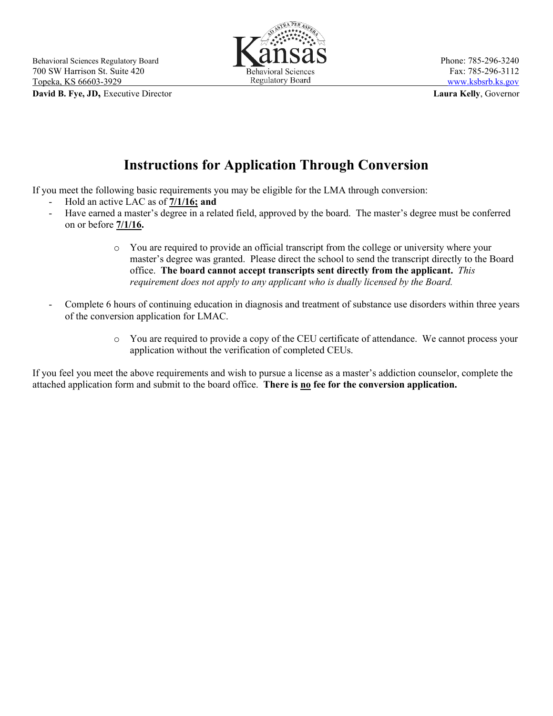**David B. Fye, JD,** Executive Director **Laura Kelly**, Governor



## **Instructions for Application Through Conversion**

If you meet the following basic requirements you may be eligible for the LMA through conversion:

- Hold an active LAC as of **7/1/16; and**
- Have earned a master's degree in a related field, approved by the board. The master's degree must be conferred on or before **7/1/16.**
	- o You are required to provide an official transcript from the college or university where your master's degree was granted. Please direct the school to send the transcript directly to the Board office. **The board cannot accept transcripts sent directly from the applicant.** *This requirement does not apply to any applicant who is dually licensed by the Board.*
- Complete 6 hours of continuing education in diagnosis and treatment of substance use disorders within three years of the conversion application for LMAC.
	- o You are required to provide a copy of the CEU certificate of attendance. We cannot process your application without the verification of completed CEUs.

If you feel you meet the above requirements and wish to pursue a license as a master's addiction counselor, complete the attached application form and submit to the board office. **There is no fee for the conversion application.**